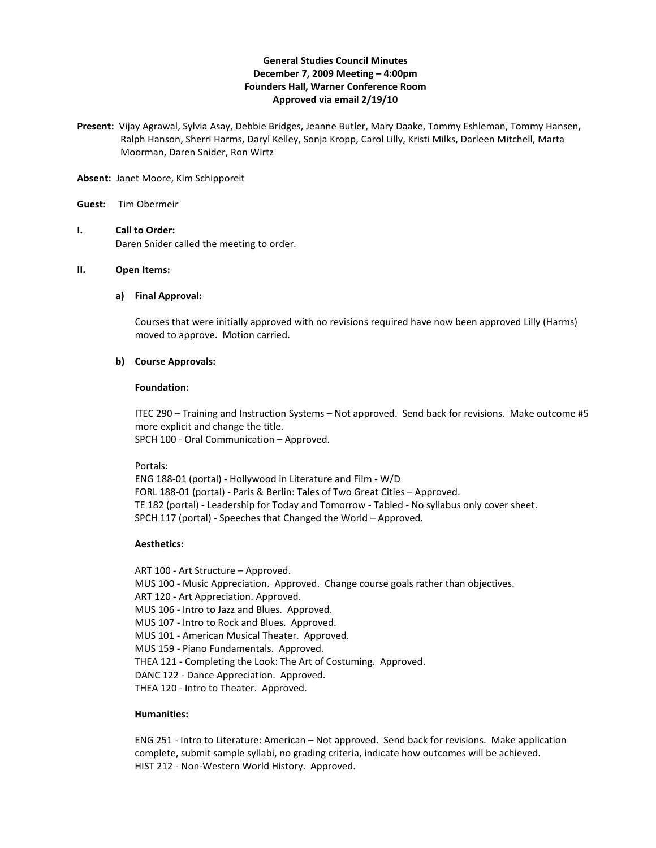# **General Studies Council Minutes December 7, 2009 Meeting – 4:00pm Founders Hall, Warner Conference Room Approved via email 2/19/10**

**Present:** Vijay Agrawal, Sylvia Asay, Debbie Bridges, Jeanne Butler, Mary Daake, Tommy Eshleman, Tommy Hansen, Ralph Hanson, Sherri Harms, Daryl Kelley, Sonja Kropp, Carol Lilly, Kristi Milks, Darleen Mitchell, Marta Moorman, Daren Snider, Ron Wirtz

**Absent:** Janet Moore, Kim Schipporeit

### **Guest:** Tim Obermeir

**I. Call to Order:** Daren Snider called the meeting to order.

### **II. Open Items:**

#### **a) Final Approval:**

Courses that were initially approved with no revisions required have now been approved Lilly (Harms) moved to approve. Motion carried.

### **b) Course Approvals:**

### **Foundation:**

ITEC 290 – Training and Instruction Systems – Not approved. Send back for revisions. Make outcome #5 more explicit and change the title. SPCH 100 - Oral Communication – Approved.

Portals:

ENG 188-01 (portal) - Hollywood in Literature and Film - W/D FORL 188-01 (portal) - Paris & Berlin: Tales of Two Great Cities – Approved. TE 182 (portal) - Leadership for Today and Tomorrow - Tabled - No syllabus only cover sheet. SPCH 117 (portal) - Speeches that Changed the World – Approved.

### **Aesthetics:**

ART 100 - Art Structure – Approved. MUS 100 - Music Appreciation. Approved. Change course goals rather than objectives. ART 120 - Art Appreciation. Approved. MUS 106 - Intro to Jazz and Blues. Approved. MUS 107 - Intro to Rock and Blues. Approved. MUS 101 - American Musical Theater. Approved. MUS 159 - Piano Fundamentals. Approved. THEA 121 - Completing the Look: The Art of Costuming. Approved. DANC 122 - Dance Appreciation. Approved. THEA 120 - Intro to Theater. Approved.

### **Humanities:**

ENG 251 - Intro to Literature: American – Not approved. Send back for revisions. Make application complete, submit sample syllabi, no grading criteria, indicate how outcomes will be achieved. HIST 212 - Non-Western World History. Approved.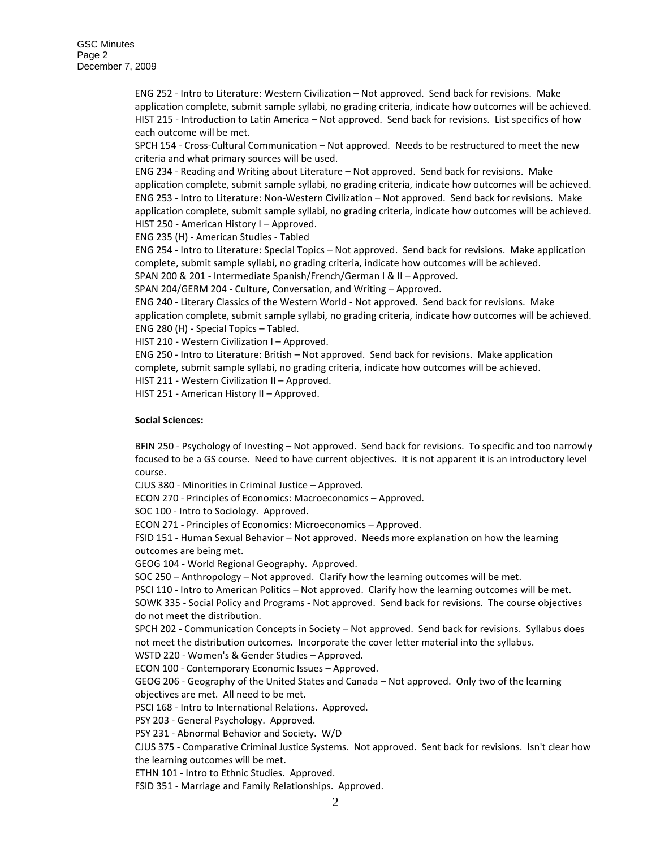ENG 252 - Intro to Literature: Western Civilization – Not approved. Send back for revisions. Make application complete, submit sample syllabi, no grading criteria, indicate how outcomes will be achieved. HIST 215 - Introduction to Latin America – Not approved. Send back for revisions. List specifics of how each outcome will be met.

SPCH 154 - Cross-Cultural Communication – Not approved. Needs to be restructured to meet the new criteria and what primary sources will be used.

ENG 234 - Reading and Writing about Literature – Not approved. Send back for revisions. Make application complete, submit sample syllabi, no grading criteria, indicate how outcomes will be achieved. ENG 253 - Intro to Literature: Non-Western Civilization – Not approved. Send back for revisions. Make application complete, submit sample syllabi, no grading criteria, indicate how outcomes will be achieved. HIST 250 - American History I – Approved.

ENG 235 (H) - American Studies - Tabled

ENG 254 - Intro to Literature: Special Topics – Not approved. Send back for revisions. Make application complete, submit sample syllabi, no grading criteria, indicate how outcomes will be achieved. SPAN 200 & 201 - Intermediate Spanish/French/German I & II – Approved.

SPAN 204/GERM 204 - Culture, Conversation, and Writing – Approved.

ENG 240 - Literary Classics of the Western World - Not approved. Send back for revisions. Make application complete, submit sample syllabi, no grading criteria, indicate how outcomes will be achieved. ENG 280 (H) - Special Topics – Tabled.

HIST 210 - Western Civilization I – Approved.

ENG 250 - Intro to Literature: British – Not approved. Send back for revisions. Make application complete, submit sample syllabi, no grading criteria, indicate how outcomes will be achieved.

HIST 211 - Western Civilization II – Approved.

HIST 251 - American History II – Approved.

### **Social Sciences:**

BFIN 250 - Psychology of Investing – Not approved. Send back for revisions. To specific and too narrowly focused to be a GS course. Need to have current objectives. It is not apparent it is an introductory level course.

CJUS 380 - Minorities in Criminal Justice – Approved.

ECON 270 - Principles of Economics: Macroeconomics – Approved.

SOC 100 - Intro to Sociology. Approved.

ECON 271 - Principles of Economics: Microeconomics – Approved.

FSID 151 - Human Sexual Behavior – Not approved. Needs more explanation on how the learning outcomes are being met.

GEOG 104 - World Regional Geography. Approved.

SOC 250 – Anthropology – Not approved. Clarify how the learning outcomes will be met.

PSCI 110 - Intro to American Politics – Not approved. Clarify how the learning outcomes will be met.

SOWK 335 - Social Policy and Programs - Not approved. Send back for revisions. The course objectives do not meet the distribution.

SPCH 202 - Communication Concepts in Society – Not approved. Send back for revisions. Syllabus does not meet the distribution outcomes. Incorporate the cover letter material into the syllabus.

WSTD 220 - Women's & Gender Studies – Approved.

ECON 100 - Contemporary Economic Issues – Approved.

GEOG 206 - Geography of the United States and Canada – Not approved. Only two of the learning objectives are met. All need to be met.

PSCI 168 - Intro to International Relations. Approved.

PSY 203 - General Psychology. Approved.

PSY 231 - Abnormal Behavior and Society. W/D

CJUS 375 - Comparative Criminal Justice Systems. Not approved. Sent back for revisions. Isn't clear how the learning outcomes will be met.

ETHN 101 - Intro to Ethnic Studies. Approved.

FSID 351 - Marriage and Family Relationships. Approved.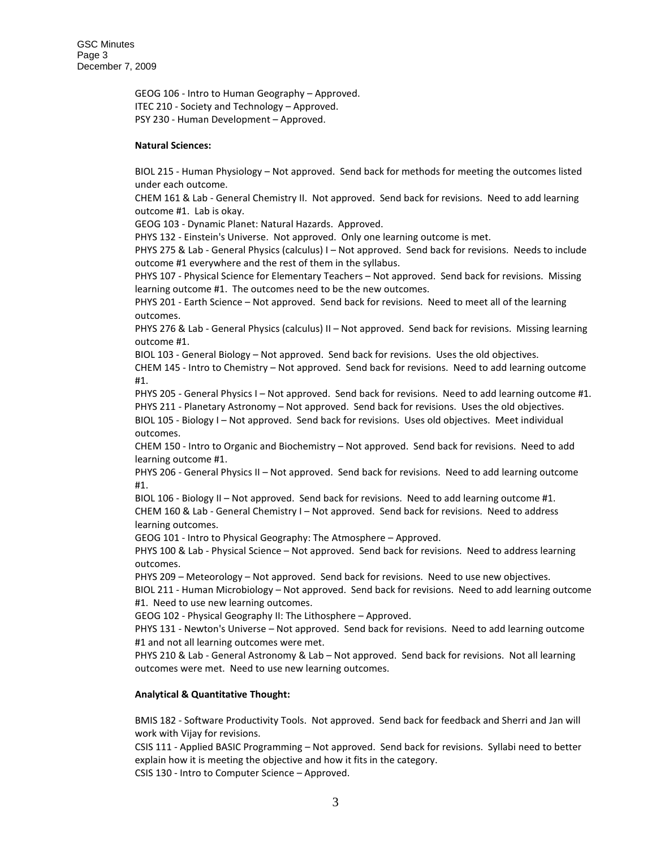GEOG 106 - Intro to Human Geography – Approved. ITEC 210 - Society and Technology – Approved. PSY 230 - Human Development – Approved.

### **Natural Sciences:**

BIOL 215 - Human Physiology – Not approved. Send back for methods for meeting the outcomes listed under each outcome.

CHEM 161 & Lab - General Chemistry II. Not approved. Send back for revisions. Need to add learning outcome #1. Lab is okay.

GEOG 103 - Dynamic Planet: Natural Hazards. Approved.

PHYS 132 - Einstein's Universe. Not approved. Only one learning outcome is met.

PHYS 275 & Lab - General Physics (calculus) I – Not approved. Send back for revisions. Needs to include outcome #1 everywhere and the rest of them in the syllabus.

PHYS 107 - Physical Science for Elementary Teachers – Not approved. Send back for revisions. Missing learning outcome #1. The outcomes need to be the new outcomes.

PHYS 201 - Earth Science – Not approved. Send back for revisions. Need to meet all of the learning outcomes.

PHYS 276 & Lab - General Physics (calculus) II – Not approved. Send back for revisions. Missing learning outcome #1.

BIOL 103 - General Biology – Not approved. Send back for revisions. Uses the old objectives.

CHEM 145 - Intro to Chemistry – Not approved. Send back for revisions. Need to add learning outcome #1.

PHYS 205 - General Physics I - Not approved. Send back for revisions. Need to add learning outcome #1. PHYS 211 - Planetary Astronomy – Not approved. Send back for revisions. Uses the old objectives.

BIOL 105 - Biology I – Not approved. Send back for revisions. Uses old objectives. Meet individual outcomes.

CHEM 150 - Intro to Organic and Biochemistry – Not approved. Send back for revisions. Need to add learning outcome #1.

PHYS 206 - General Physics II – Not approved. Send back for revisions. Need to add learning outcome #1.

BIOL 106 - Biology II – Not approved. Send back for revisions. Need to add learning outcome #1. CHEM 160 & Lab - General Chemistry I – Not approved. Send back for revisions. Need to address learning outcomes.

GEOG 101 - Intro to Physical Geography: The Atmosphere – Approved.

PHYS 100 & Lab - Physical Science – Not approved. Send back for revisions. Need to address learning outcomes.

PHYS 209 – Meteorology – Not approved. Send back for revisions. Need to use new objectives.

BIOL 211 - Human Microbiology – Not approved. Send back for revisions. Need to add learning outcome #1. Need to use new learning outcomes.

GEOG 102 - Physical Geography II: The Lithosphere – Approved.

PHYS 131 - Newton's Universe – Not approved. Send back for revisions. Need to add learning outcome #1 and not all learning outcomes were met.

PHYS 210 & Lab - General Astronomy & Lab – Not approved. Send back for revisions. Not all learning outcomes were met. Need to use new learning outcomes.

# **Analytical & Quantitative Thought:**

BMIS 182 - Software Productivity Tools. Not approved. Send back for feedback and Sherri and Jan will work with Vijay for revisions.

CSIS 111 - Applied BASIC Programming – Not approved. Send back for revisions. Syllabi need to better explain how it is meeting the objective and how it fits in the category. CSIS 130 - Intro to Computer Science – Approved.